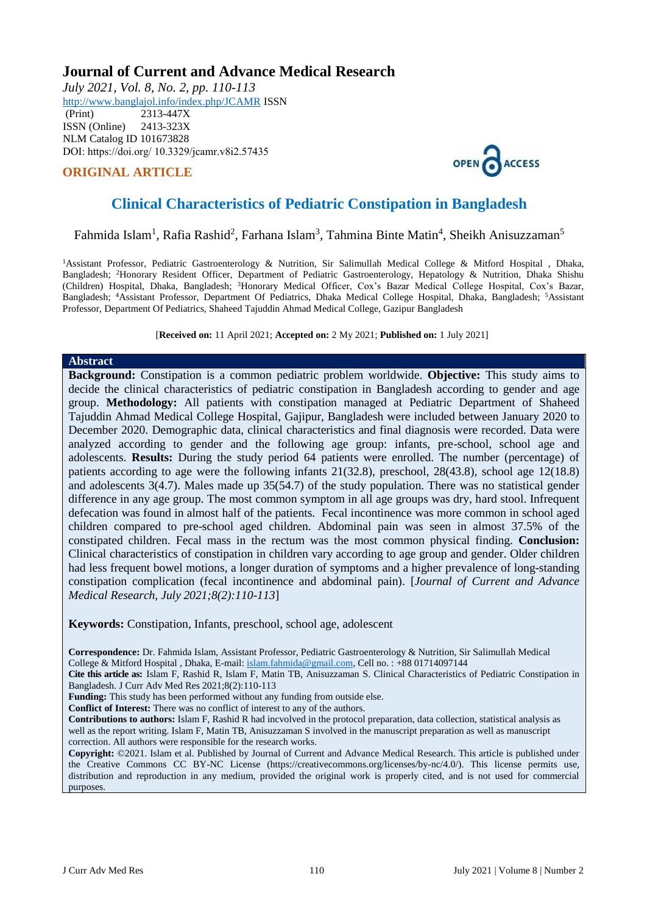## **Journal of Current and Advance Medical Research**

*July 2021, Vol. 8, No. 2, pp. 110-113* <http://www.banglajol.info/index.php/JCAMR>ISSN

 (Print) 2313-447X ISSN (Online) 2413-323X [NLM Catalog](https://www.ncbi.nlm.nih.gov/nlmcatalog/101673828) ID 101673828 DOI: https://doi.org/ 10.3329/jcamr.v8i2.57435

## **ORIGINAL ARTICLE**



# **Clinical Characteristics of Pediatric Constipation in Bangladesh**

Fahmida Islam<sup>1</sup>, Rafia Rashid<sup>2</sup>, Farhana Islam<sup>3</sup>, Tahmina Binte Matin<sup>4</sup>, Sheikh Anisuzzaman<sup>5</sup>

<sup>1</sup>Assistant Professor, Pediatric Gastroenterology & Nutrition, Sir Salimullah Medical College & Mitford Hospital, Dhaka, Bangladesh; <sup>2</sup>Honorary Resident Officer, Department of Pediatric Gastroenterology, Hepatology & Nutrition, Dhaka Shishu (Children) Hospital, Dhaka, Bangladesh; <sup>3</sup>Honorary Medical Officer, Cox's Bazar Medical College Hospital, Cox's Bazar, Bangladesh; <sup>4</sup>Assistant Professor, Department Of Pediatrics, Dhaka Medical College Hospital, Dhaka, Bangladesh; <sup>5</sup>Assistant Professor, Department Of Pediatrics, Shaheed Tajuddin Ahmad Medical College, Gazipur Bangladesh

[**Received on:** 11 April 2021; **Accepted on:** 2 My 2021; **Published on:** 1 July 2021]

#### **Abstract**

**Background:** Constipation is a common pediatric problem worldwide. **Objective:** This study aims to decide the clinical characteristics of pediatric constipation in Bangladesh according to gender and age group. **Methodology:** All patients with constipation managed at Pediatric Department of Shaheed Tajuddin Ahmad Medical College Hospital, Gajipur, Bangladesh were included between January 2020 to December 2020. Demographic data, clinical characteristics and final diagnosis were recorded. Data were analyzed according to gender and the following age group: infants, pre-school, school age and adolescents. **Results:** During the study period 64 patients were enrolled. The number (percentage) of patients according to age were the following infants 21(32.8), preschool, 28(43.8), school age 12(18.8) and adolescents 3(4.7). Males made up 35(54.7) of the study population. There was no statistical gender difference in any age group. The most common symptom in all age groups was dry, hard stool. Infrequent defecation was found in almost half of the patients. Fecal incontinence was more common in school aged children compared to pre-school aged children. Abdominal pain was seen in almost 37.5% of the constipated children. Fecal mass in the rectum was the most common physical finding. **Conclusion:**  Clinical characteristics of constipation in children vary according to age group and gender. Older children had less frequent bowel motions, a longer duration of symptoms and a higher prevalence of long-standing constipation complication (fecal incontinence and abdominal pain). [*Journal of Current and Advance Medical Research, July 2021;8(2):110-113*]

**Keywords:** Constipation, Infants, preschool, school age, adolescent

**Correspondence:** Dr. Fahmida Islam, Assistant Professor, Pediatric Gastroenterology & Nutrition, Sir Salimullah Medical College & Mitford Hospital , Dhaka, E-mail[: islam.fahmida@gmail.com,](mailto:islam.fahmida@gmail.com) Cell no. : +88 01714097144

**Cite this article as:** Islam F, Rashid R, Islam F, Matin TB, Anisuzzaman S. Clinical Characteristics of Pediatric Constipation in Bangladesh. J Curr Adv Med Res 2021;8(2):110-113

**Funding:** This study has been performed without any funding from outside else.

**Conflict of Interest:** There was no conflict of interest to any of the authors.

**Contributions to authors:** Islam F, Rashid R had incvolved in the protocol preparation, data collection, statistical analysis as well as the report writing. Islam F, Matin TB, Anisuzzaman S involved in the manuscript preparation as well as manuscript correction. All authors were responsible for the research works.

**Copyright:** ©2021. Islam et al. Published by Journal of Current and Advance Medical Research. This article is published under the Creative Commons CC BY-NC License (https://creativecommons.org/licenses/by-nc/4.0/). This license permits use, distribution and reproduction in any medium, provided the original work is properly cited, and is not used for commercial purposes.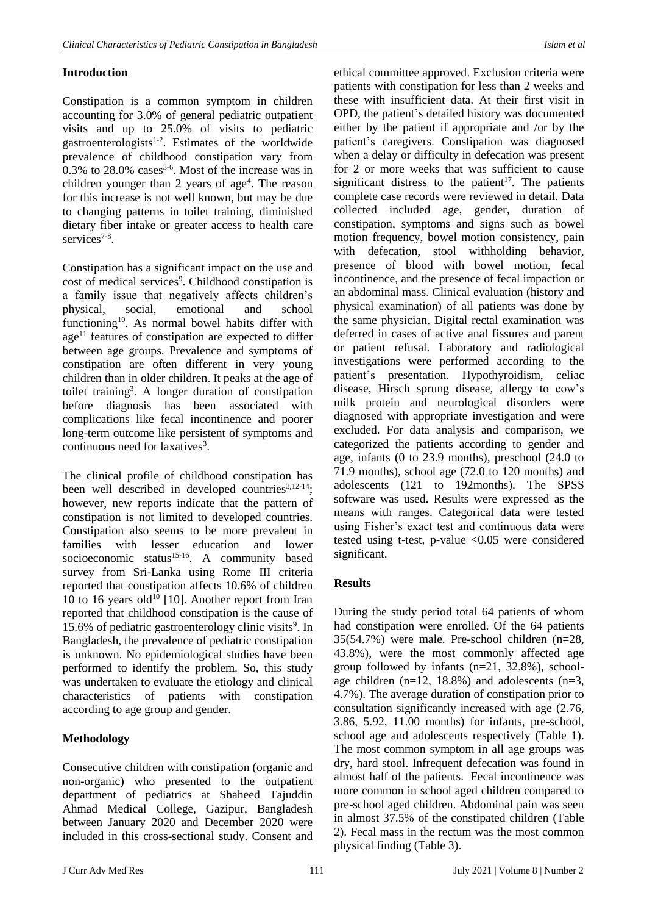## **Introduction**

Constipation is a common symptom in children accounting for 3.0% of general pediatric outpatient visits and up to 25.0% of visits to pediatric gastroenterologists<sup>1-2</sup>. Estimates of the worldwide prevalence of childhood constipation vary from  $0.3\%$  to  $28.0\%$  cases<sup>3-6</sup>. Most of the increase was in children younger than 2 years of  $age<sup>4</sup>$ . The reason for this increase is not well known, but may be due to changing patterns in toilet training, diminished dietary fiber intake or greater access to health care services<sup>7-8</sup>.

Constipation has a significant impact on the use and cost of medical services<sup>9</sup>. Childhood constipation is a family issue that negatively affects children's physical, social, emotional and school functioning<sup>10</sup>. As normal bowel habits differ with  $age<sup>11</sup>$  features of constipation are expected to differ between age groups. Prevalence and symptoms of constipation are often different in very young children than in older children. It peaks at the age of toilet training<sup>3</sup>. A longer duration of constipation before diagnosis has been associated with complications like fecal incontinence and poorer long-term outcome like persistent of symptoms and continuous need for laxatives<sup>3</sup>.

The clinical profile of childhood constipation has been well described in developed countries $3,12-14$ ; however, new reports indicate that the pattern of constipation is not limited to developed countries. Constipation also seems to be more prevalent in families with lesser education and lower socioeconomic status<sup>15-16</sup>. A community based survey from Sri-Lanka using Rome III criteria reported that constipation affects 10.6% of children 10 to 16 years old<sup>10</sup> [10]. Another report from Iran reported that childhood constipation is the cause of 15.6% of pediatric gastroenterology clinic visits<sup>9</sup>. In Bangladesh, the prevalence of pediatric constipation is unknown. No epidemiological studies have been performed to identify the problem. So, this study was undertaken to evaluate the etiology and clinical characteristics of patients with constipation according to age group and gender.

## **Methodology**

Consecutive children with constipation (organic and non-organic) who presented to the outpatient department of pediatrics at Shaheed Tajuddin Ahmad Medical College, Gazipur, Bangladesh between January 2020 and December 2020 were included in this cross-sectional study. Consent and ethical committee approved. Exclusion criteria were patients with constipation for less than 2 weeks and these with insufficient data. At their first visit in OPD, the patient's detailed history was documented either by the patient if appropriate and /or by the patient's caregivers. Constipation was diagnosed when a delay or difficulty in defecation was present for 2 or more weeks that was sufficient to cause significant distress to the patient<sup>17</sup>. The patients complete case records were reviewed in detail. Data collected included age, gender, duration of constipation, symptoms and signs such as bowel motion frequency, bowel motion consistency, pain with defecation, stool withholding behavior, presence of blood with bowel motion, fecal incontinence, and the presence of fecal impaction or an abdominal mass. Clinical evaluation (history and physical examination) of all patients was done by the same physician. Digital rectal examination was deferred in cases of active anal fissures and parent or patient refusal. Laboratory and radiological investigations were performed according to the patient's presentation. Hypothyroidism, celiac disease, Hirsch sprung disease, allergy to cow's milk protein and neurological disorders were diagnosed with appropriate investigation and were excluded. For data analysis and comparison, we categorized the patients according to gender and age, infants (0 to 23.9 months), preschool (24.0 to 71.9 months), school age (72.0 to 120 months) and adolescents (121 to 192months). The SPSS software was used. Results were expressed as the means with ranges. Categorical data were tested using Fisher's exact test and continuous data were tested using t-test, p-value <0.05 were considered significant.

### **Results**

During the study period total 64 patients of whom had constipation were enrolled. Of the 64 patients 35(54.7%) were male. Pre-school children (n=28, 43.8%), were the most commonly affected age group followed by infants (n=21, 32.8%), schoolage children (n=12, 18.8%) and adolescents (n=3, 4.7%). The average duration of constipation prior to consultation significantly increased with age (2.76, 3.86, 5.92, 11.00 months) for infants, pre-school, school age and adolescents respectively (Table 1). The most common symptom in all age groups was dry, hard stool. Infrequent defecation was found in almost half of the patients. Fecal incontinence was more common in school aged children compared to pre-school aged children. Abdominal pain was seen in almost 37.5% of the constipated children (Table 2). Fecal mass in the rectum was the most common physical finding (Table 3).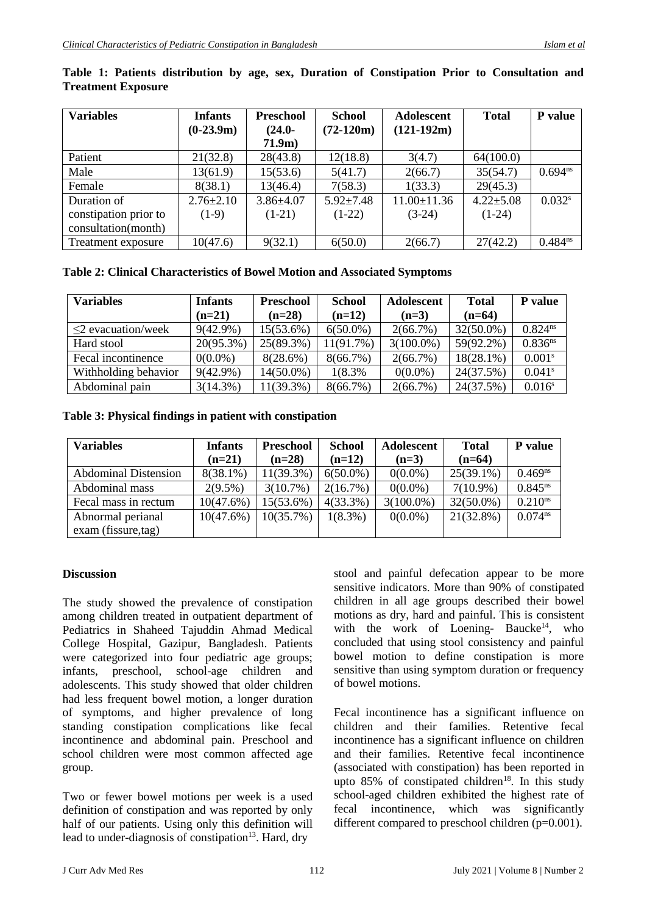| <b>Variables</b>      | <b>Infants</b>  | <b>Preschool</b> | <b>School</b>   | <b>Adolescent</b> | <b>Total</b>    | P value              |
|-----------------------|-----------------|------------------|-----------------|-------------------|-----------------|----------------------|
|                       | $(0-23.9m)$     | $(24.0 -$        | $(72-120m)$     | $(121-192m)$      |                 |                      |
|                       |                 | $71.9m$ )        |                 |                   |                 |                      |
| Patient               | 21(32.8)        | 28(43.8)         | 12(18.8)        | 3(4.7)            | 64(100.0)       |                      |
| Male                  | 13(61.9)        | 15(53.6)         | 5(41.7)         | 2(66.7)           | 35(54.7)        | $0.694^{ns}$         |
| Female                | 8(38.1)         | 13(46.4)         | 7(58.3)         | 1(33.3)           | 29(45.3)        |                      |
| Duration of           | $2.76 \pm 2.10$ | $3.86{\pm}4.07$  | $5.92 \pm 7.48$ | $11.00 \pm 11.36$ | $4.22 \pm 5.08$ | $0.032$ <sup>s</sup> |
| constipation prior to | $(1-9)$         | $(1-21)$         | $(1-22)$        | $(3-24)$          | $(1-24)$        |                      |
| consultation(month)   |                 |                  |                 |                   |                 |                      |
| Treatment exposure    | 10(47.6)        | 9(32.1)          | 6(50.0)         | 2(66.7)           | 27(42.2)        | $0.484^{ns}$         |

#### **Table 1: Patients distribution by age, sex, Duration of Constipation Prior to Consultation and Treatment Exposure**

**Table 2: Clinical Characteristics of Bowel Motion and Associated Symptoms**

| <b>Variables</b>       | <b>Infants</b> | <b>Preschool</b> | <b>School</b> | Adolescent   | <b>Total</b> | P value              |
|------------------------|----------------|------------------|---------------|--------------|--------------|----------------------|
|                        | $(n=21)$       | $(n=28)$         | $(n=12)$      | $(n=3)$      | $(n=64)$     |                      |
| $\leq$ evacuation/week | $9(42.9\%)$    | $15(53.6\%)$     | $6(50.0\%)$   | $2(66.7\%)$  | $32(50.0\%)$ | 0.824 <sup>ns</sup>  |
| Hard stool             | 20(95.3%)      | 25(89.3%)        | 11(91.7%)     | $3(100.0\%)$ | 59(92.2%)    | $0.836^{ns}$         |
| Fecal incontinence     | $0(0.0\%)$     | 8(28.6%)         | $8(66.7\%)$   | $2(66.7\%)$  | $18(28.1\%)$ | 0.001 <sup>s</sup>   |
| Withholding behavior   | $9(42.9\%)$    | $14(50.0\%)$     | 1(8.3%        | $0(0.0\%)$   | 24(37.5%)    | $0.041$ <sup>s</sup> |
| Abdominal pain         | 3(14.3%)       | $11(39.3\%)$     | $8(66.7\%)$   | $2(66.7\%)$  | 24(37.5%)    | 0.016 <sup>s</sup>   |

**Table 3: Physical findings in patient with constipation** 

| <b>Variables</b>            | <b>Infants</b> | <b>Preschool</b> | <b>School</b> | <b>Adolescent</b> | <b>Total</b> | P value      |
|-----------------------------|----------------|------------------|---------------|-------------------|--------------|--------------|
|                             | $(n=21)$       | $(n=28)$         | $(n=12)$      | $(n=3)$           | $(n=64)$     |              |
| <b>Abdominal Distension</b> | $8(38.1\%)$    | $11(39.3\%)$     | $6(50.0\%)$   | $0(0.0\%)$        | $25(39.1\%)$ | $0.469^{ns}$ |
| Abdominal mass              | $2(9.5\%)$     | $3(10.7\%)$      | 2(16.7%)      | $0(0.0\%)$        | $7(10.9\%)$  | $0.845^{ns}$ |
| Fecal mass in rectum        | 10(47.6%)      | $15(53.6\%)$     | $4(33.3\%)$   | $3(100.0\%)$      | $32(50.0\%)$ | $0.210^{ns}$ |
| Abnormal perianal           | 10(47.6%)      | 10(35.7%)        | $1(8.3\%)$    | $0(0.0\%)$        | $21(32.8\%)$ | $0.074^{ns}$ |
| $exam$ (fissure, tag)       |                |                  |               |                   |              |              |

#### **Discussion**

The study showed the prevalence of constipation among children treated in outpatient department of Pediatrics in Shaheed Tajuddin Ahmad Medical College Hospital, Gazipur, Bangladesh. Patients were categorized into four pediatric age groups; infants, preschool, school-age children and adolescents. This study showed that older children had less frequent bowel motion, a longer duration of symptoms, and higher prevalence of long standing constipation complications like fecal incontinence and abdominal pain. Preschool and school children were most common affected age group.

Two or fewer bowel motions per week is a used definition of constipation and was reported by only half of our patients. Using only this definition will lead to under-diagnosis of constipation<sup>13</sup>. Hard, dry

stool and painful defecation appear to be more sensitive indicators. More than 90% of constipated children in all age groups described their bowel motions as dry, hard and painful. This is consistent with the work of Loening- Baucke<sup>14</sup>, who concluded that using stool consistency and painful bowel motion to define constipation is more sensitive than using symptom duration or frequency of bowel motions.

Fecal incontinence has a significant influence on children and their families. Retentive fecal incontinence has a significant influence on children and their families. Retentive fecal incontinence (associated with constipation) has been reported in upto  $85\%$  of constipated children<sup>18</sup>. In this study school-aged children exhibited the highest rate of fecal incontinence, which was significantly different compared to preschool children (p=0.001).